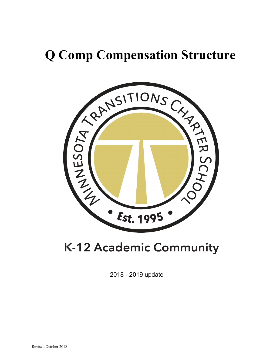# **Q Comp Compensation Structure**



## **K-12 Academic Community**

2018 - 2019 update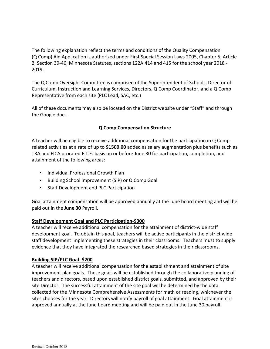The following explanation reflect the terms and conditions of the Quality Compensation (Q Comp) Aid Application is authorized under First Special Session Laws 2005, Chapter 5, Article 2, Section 39-46; Minnesota Statutes, sections 122A.414 and 415 for the school year 2018 - 2019.

The Q Comp Oversight Committee is comprised of the Superintendent of Schools, Director of Curriculum, Instruction and Learning Services, Directors, Q Comp Coordinator, and a Q Comp Representative from each site (PLC Lead, SAC, etc.)

All of these documents may also be located on the District website under "Staff" and through the Google docs.

#### **Q Comp Compensation Structure**

A teacher will be eligible to receive additional compensation for the participation in Q Comp related activities at a rate of up to **\$1500.00** added as salary augmentation plus benefits such as TRA and FICA prorated F.T.E. basis on or before June 30 for participation, completion, and attainment of the following areas:

- Individual Professional Growth Plan
- Building School Improvement (SIP) or Q Comp Goal
- Staff Development and PLC Participation

Goal attainment compensation will be approved annually at the June board meeting and will be paid out in the **June 30** Payroll.

#### **Staff Development Goal and PLC Participation-\$300**

A teacher will receive additional compensation for the attainment of district-wide staff development goal. To obtain this goal, teachers will be active participants in the district wide staff development implementing these strategies in their classrooms. Teachers must to supply evidence that they have integrated the researched based strategies in their classrooms.

#### **Building SIP/PLC Goal- \$200**

A teacher will receive additional compensation for the establishment and attainment of site improvement plan goals. These goals will be established through the collaborative planning of teachers and directors, based upon established district goals, submitted, and approved by their site Director. The successful attainment of the site goal will be determined by the data collected for the Minnesota Comprehensive Assessments for math or reading, whichever the sites chooses for the year. Directors will notify payroll of goal attainment. Goal attainment is approved annually at the June board meeting and will be paid out in the June 30 payroll.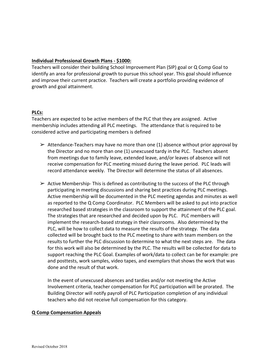#### **Individual Professional Growth Plans - \$1000:**

Teachers will consider their building School Improvement Plan (SIP) goal or Q Comp Goal to identify an area for professional growth to pursue this school year. This goal should influence and improve their current practice. Teachers will create a portfolio providing evidence of growth and goal attainment.

#### **PLCs:**

Teachers are expected to be active members of the PLC that they are assigned. Active membership includes attending all PLC meetings. The attendance that is required to be considered active and participating members is defined

- $\triangleright$  Attendance-Teachers may have no more than one (1) absence without prior approval by the Director and no more than one (1) unexcused tardy in the PLC. Teachers absent from meetings due to family leave, extended leave, and/or leaves of absence will not receive compensation for PLC meeting missed during the leave period. PLC leads will record attendance weekly. The Director will determine the status of all absences.
- $\triangleright$  Active Membership-This is defined as contributing to the success of the PLC through participating in meeting discussions and sharing best practices during PLC meetings. Active membership will be documented in the PLC meeting agendas and minutes as well as reported to the Q Comp Coordinator. PLC Members will be asked to put into practice researched based strategies in the classroom to support the attainment of the PLC goal. The strategies that are researched and decided upon by PLC. PLC members will implement the research-based strategy in their classrooms. Also determined by the PLC, will be how to collect data to measure the results of the strategy. The data collected will be brought back to the PLC meeting to share with team members on the results to further the PLC discussion to determine to what the next steps are. The data for this work will also be determined by the PLC. The results will be collected for data to support reaching the PLC Goal. Examples of work/data to collect can be for example: pre and posttests, work samples, video tapes, and exemplars that shows the work that was done and the result of that work.

In the event of unexcused absences and tardies and/or not meeting the Active Involvement criteria, teacher compensation for PLC participation will be prorated. The Building Director will notify payroll of PLC Participation completion of any individual teachers who did not receive full compensation for this category.

#### **Q Comp Compensation Appeals**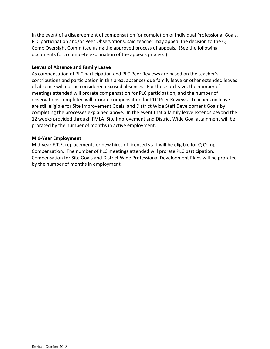In the event of a disagreement of compensation for completion of Individual Professional Goals, PLC participation and/or Peer Observations, said teacher may appeal the decision to the Q Comp Oversight Committee using the approved process of appeals. (See the following documents for a complete explanation of the appeals process.)

#### **Leaves of Absence and Family Leave**

As compensation of PLC participation and PLC Peer Reviews are based on the teacher's contributions and participation in this area, absences due family leave or other extended leaves of absence will not be considered excused absences. For those on leave, the number of meetings attended will prorate compensation for PLC participation, and the number of observations completed will prorate compensation for PLC Peer Reviews. Teachers on leave are still eligible for Site Improvement Goals, and District Wide Staff Development Goals by completing the processes explained above. In the event that a family leave extends beyond the 12 weeks provided through FMLA, Site Improvement and District Wide Goal attainment will be prorated by the number of months in active employment.

#### **Mid-Year Employment**

Mid-year F.T.E. replacements or new hires of licensed staff will be eligible for Q Comp Compensation. The number of PLC meetings attended will prorate PLC participation. Compensation for Site Goals and District Wide Professional Development Plans will be prorated by the number of months in employment.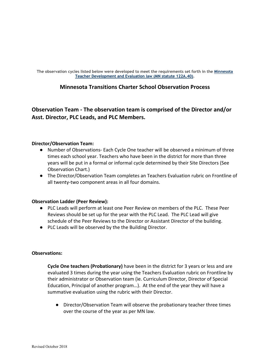**The observation cycles listed below were developed to meet the requirements set forth in the [Minnesota](https://www.revisor.mn.gov/statutes/?id=122A.40)  [Teacher Development and Evaluation law \(MN statute 122A.40\).](https://www.revisor.mn.gov/statutes/?id=122A.40)**

#### **Minnesota Transitions Charter School Observation Process**

**Observation Team - The observation team is comprised of the Director and/or Asst. Director, PLC Leads, and PLC Members.**

#### **Director/Observation Team:**

- Number of Observations- Each Cycle One teacher will be observed a minimum of three times each school year. Teachers who have been in the district for more than three years will be put in a formal or informal cycle determined by their Site Directors (See Observation Chart.)
- The Director/Observation Team completes an Teachers Evaluation rubric on Frontline of all twenty-two component areas in all four domains.

#### **Observation Ladder (Peer Review):**

- PLC Leads will perform at least one Peer Review on members of the PLC. These Peer Reviews should be set up for the year with the PLC Lead. The PLC Lead will give schedule of the Peer Reviews to the Director or Assistant Director of the building.
- PLC Leads will be observed by the the Building Director.

#### **Observations:**

**Cycle One teachers (Probationary)** have been in the district for 3 years or less and are evaluated 3 times during the year using the Teachers Evaluation rubric on Frontline by their administrator or Observation team (ie. Curriculum Director, Director of Special Education, Principal of another program…). At the end of the year they will have a summative evaluation using the rubric with their Director.

● Director/Observation Team will observe the probationary teacher three times over the course of the year as per MN law.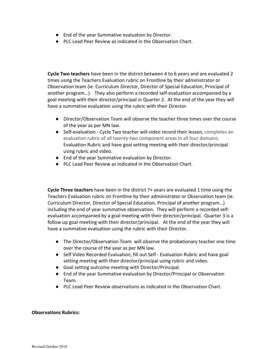- End of the year Summative evaluation by Director.
- PLC Lead Peer Review as indicated in the Observation Chart.

**Cycle Two teachers** have been in the district between 4 to 6 years and are evaluated 2 times using the Teachers Evaluation rubric on Frontline by their administrator or Observation team (ie. Curriculum Director, Director of Special Education, Principal of another program…). They also perform a recorded self-evaluation accompanied by a goal meeting with their director/principal in Quarter 2. At the end of the year they will have a summative evaluation using the rubric with their Director.

- Director/Observation Team will observe the teacher three times over the course of the year as per MN law.
- Self-evaluation Cycle Two teacher will video record their lesson, completes an evaluation rubric of all twenty-two component areas in all four domains. Evaluation Rubric and have goal setting meeting with their director/principal using rubric and video.
- End of the year Summative evaluation by Director.
- PLC Lead Peer Review as indicated in the Observation Chart.

**Cycle Three teachers** have been in the district 7+ years are evaluated 1 time using the Teachers Evaluation rubric on Frontline by their administrator or Observation team (ie. Curriculum Director, Director of Special Education, Principal of another program…) including the end of year summative observation. They will perform a recorded selfevaluation accompanied by a goal meeting with their director/principal. Quarter 3 is a follow up goal meeting with their director/principal. At the end of the year they will have a summative evaluation using the rubric with their Director.

- The Director/Observation Team will observe the probationary teacher one time over the course of the year as per MN law.
- Self Video Recorded Evaluation, fill out Self Evaluation Rubric and have goal setting meeting with their director/principal using rubric and video.
- Goal setting outcome meeting with Director/Principal.
- End of the year Summative evaluation by Director/Principal or Observation Team.
- PLC Lead Peer Review observations as indicated in the Observation Chart.

#### **Observations Rubrics:**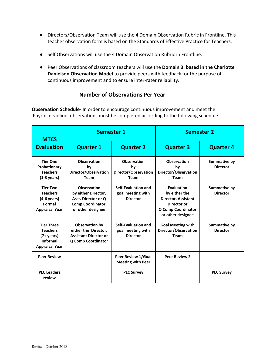- Directors/Observation Team will use the 4 Domain Observation Rubric in Frontline. This teacher observation form is based on the Standards of Effective Practice for Teachers.
- Self Observations will use the 4 Domain Observation Rubric in Frontline.
- Peer Observations of classroom teachers will use the **Domain 3: based in the Charlotte Danielson Observation Model** to provide peers with feedback for the purpose of continuous improvement and to ensure inter-rater reliability.

## **Number of Observations Per Year**

**Observation Schedule-** In order to encourage continuous improvement and meet the Payroll deadline, observations must be completed according to the following schedule.

| <b>MTCS</b>                                                                                                  |                                                                                                            | <b>Semester 1</b><br><b>Semester 2</b>                          |                                                                                                                                   |                                        |
|--------------------------------------------------------------------------------------------------------------|------------------------------------------------------------------------------------------------------------|-----------------------------------------------------------------|-----------------------------------------------------------------------------------------------------------------------------------|----------------------------------------|
| <b>Evaluation</b>                                                                                            | <b>Quarter 1</b>                                                                                           | <b>Quarter 2</b>                                                | <b>Quarter 3</b>                                                                                                                  | <b>Quarter 4</b>                       |
| <b>Tier One</b><br>Probationary<br><b>Teachers</b><br>$(1-3 \text{ years})$                                  | <b>Observation</b><br>bv<br>Director/Observation<br><b>Team</b>                                            | <b>Observation</b><br>bv<br>Director/Observation<br><b>Team</b> | <b>Observation</b><br>bv<br>Director/Observation<br><b>Team</b>                                                                   | Summative by<br><b>Director</b>        |
| <b>Tier Two</b><br><b>Teachers</b><br>$(4-6 \text{ years})$<br>Formal<br><b>Appraisal Year</b>               | <b>Observation</b><br>by either Director,<br>Asst. Director or Q<br>Comp Coordinator,<br>or other designee | Self-Evaluation and<br>goal meeting with<br><b>Director</b>     | <b>Evaluation</b><br>by either the<br><b>Director, Assistant</b><br>Director or<br><b>Q Comp Coordinator</b><br>or other designee | <b>Summative by</b><br><b>Director</b> |
| <b>Tier Three</b><br><b>Teachers</b><br>$(7 + \vee \text{ears})$<br><b>Informal</b><br><b>Appraisal Year</b> | Observation by<br>either the Director,<br><b>Assistant Director or</b><br><b>Q Comp Coordinator</b>        | Self-Evaluation and<br>goal meeting with<br><b>Director</b>     | <b>Goal Meeting with</b><br>Director/Observation<br>Team                                                                          | Summative by<br><b>Director</b>        |
| <b>Peer Review</b>                                                                                           |                                                                                                            | Peer Review 1/Goal<br><b>Meeting with Peer</b>                  | <b>Peer Review 2</b>                                                                                                              |                                        |
| <b>PLC Leaders</b><br>review                                                                                 |                                                                                                            | <b>PLC Survey</b>                                               |                                                                                                                                   | <b>PLC Survey</b>                      |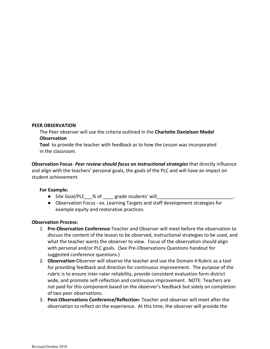#### **PEER OBSERVATION**

The Peer observer will use the criteria outlined in the **Charlotte Danielson Model Observation** 

**Tool** to provide the teacher with feedback as to how the Lesson was incorporated in the classroom.

**Observation Focus**- *Peer review should focus on instructional strategies* that directly influence and align with the teachers' personal goals, the goals of the PLC and will have an impact on student achievement.

#### **For Example:**

- Site Goal/PLC % of grade students' will
- Observation Focus ex. Learning Targets and staff development strategies for example equity and restorative practices.

#### **Observation Process:**

- 1. **Pre-Observation Conference**-Teacher and Observer will meet before the observation to discuss the content of the lesson to be observed, instructional strategies to be used, and what the teacher wants the observer to view. Focus of the observation should align with personal and/or PLC goals. (See Pre-Observations Questions handout for suggested conference questions.)
- 2. **Observation-**Observer will observe the teacher and use the Domain 4 Rubric as a tool for providing feedback and direction for continuous improvement. The purpose of the rubric is to ensure inter-rater reliability, provide consistent evaluation form district wide, and promote self-reflection and continuous improvement. NOTE: Teachers are not paid for this component based on the observer's feedback but solely on completion of two peer observations.
- 3. **Post-Observations Conference/Reflection-** Teacher and observer will meet after the observation to reflect on the experience. At this time, the observer will provide the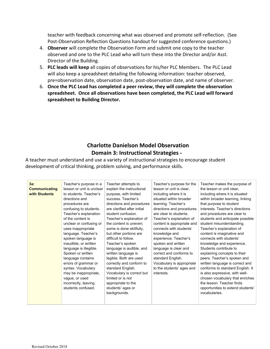teacher with feedback concerning what was observed and promote self-reflection. (See Post-Observation Reflection Questions handout for suggested conference questions.)

- 4. **Observer** will complete the Observation Form and submit one copy to the teacher observed and one to the PLC Lead who will turn these into the Director and/or Asst. Director of the Building.
- 5. **PLC leads will keep** all copies of observations for his/her PLC Members. The PLC Lead will also keep a spreadsheet detailing the following information: teacher observed, pre=observation date, observation date, post-observation date, and name of observer.
- 6. **Once the PLC Lead has completed a peer review, they will complete the observation spreadsheet. Once all observations have been completed, the PLC Lead will forward spreadsheet to Building Director.**

## **Charlotte Danielson Model Observation Domain 3: Instructional Strategies -**

A teacher must understand and use a variety of instructional strategies to encourage student development of critical thinking, problem solving, and performance skills.

| $3a$ :<br><b>Communicating</b><br>with Students | Teacher's purpose in a<br>lesson or unit is unclear<br>to students. Teacher's<br>directions and<br>procedures are<br>confusing to students.<br>Teacher's explanation<br>of the content is<br>unclear or confusing or<br>uses inappropriate<br>language. Teacher's<br>spoken language is<br>inaudible, or written<br>language is illegible.<br>Spoken or written<br>language contains<br>errors of grammar or<br>syntax. Vocabulary<br>may be inappropriate,<br>vague, or used<br>incorrectly, leaving<br>students confused. | Teacher attempts to<br>explain the instructional<br>purpose, with limited<br>success. Teacher's<br>directions and procedures<br>are clarified after initial<br>student confusion.<br>Teacher's explanation of<br>the content is uneven:<br>some is done skillfully,<br>but other portions are<br>difficult to follow.<br>Teacher's spoken<br>language is audible, and<br>written language is<br>legible. Both are used<br>correctly and conform to<br>standard English.<br>Vocabulary is correct but<br>limited or is not<br>appropriate to the<br>students' ages or<br>backgrounds. | Teacher's purpose for the<br>lesson or unit is clear,<br>including where it is<br>situated within broader<br>learning. Teacher's<br>directions and procedures<br>are clear to students.<br>Teacher's explanation of<br>content is appropriate and<br>connects with students'<br>knowledge and<br>experience. Teacher's<br>spoken and written<br>language is clear and<br>correct and conforms to<br>standard English.<br>Vocabulary is appropriate<br>to the students' ages and<br>interests. | Teacher makes the purpose of<br>the lesson or unit clear,<br>including where it is situated<br>within broader learning, linking<br>that purpose to student<br>interests. Teacher's directions<br>and procedures are clear to<br>students and anticipate possible<br>student misunderstanding.<br>Teacher's explanation of<br>content is imaginative and<br>connects with students'<br>knowledge and experience.<br>Students contribute to<br>explaining concepts to their<br>peers. Teacher's spoken and<br>written language is correct and<br>conforms to standard English. It<br>is also expressive, with well-<br>chosen vocabulary that enriches<br>the lesson. Teacher finds<br>opportunities to extend students'<br>vocabularies. |
|-------------------------------------------------|-----------------------------------------------------------------------------------------------------------------------------------------------------------------------------------------------------------------------------------------------------------------------------------------------------------------------------------------------------------------------------------------------------------------------------------------------------------------------------------------------------------------------------|--------------------------------------------------------------------------------------------------------------------------------------------------------------------------------------------------------------------------------------------------------------------------------------------------------------------------------------------------------------------------------------------------------------------------------------------------------------------------------------------------------------------------------------------------------------------------------------|-----------------------------------------------------------------------------------------------------------------------------------------------------------------------------------------------------------------------------------------------------------------------------------------------------------------------------------------------------------------------------------------------------------------------------------------------------------------------------------------------|-----------------------------------------------------------------------------------------------------------------------------------------------------------------------------------------------------------------------------------------------------------------------------------------------------------------------------------------------------------------------------------------------------------------------------------------------------------------------------------------------------------------------------------------------------------------------------------------------------------------------------------------------------------------------------------------------------------------------------------------|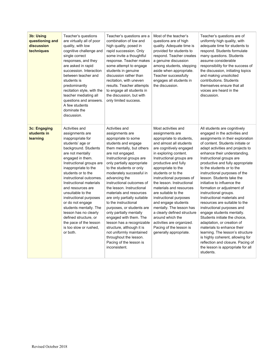| 3b: Using<br>questioning and<br>discussion<br>techniques | Teacher's questions<br>are virtually all of poor<br>quality, with low<br>cognitive challenge and<br>single correct<br>responses, and they<br>are asked in rapid<br>succession. Interaction<br>between teacher and<br>students is<br>predominantly<br>recitation style, with the<br>teacher mediating all<br>questions and answers.<br>A few students<br>dominate the<br>discussion.                                                                                                                            | Teacher's questions are a<br>combination of low and<br>high quality, posed in<br>rapid succession. Only<br>some invite a thoughtful<br>response. Teacher makes<br>some attempt to engage<br>students in genuine<br>discussion rather than<br>recitation, with uneven<br>results. Teacher attempts<br>to engage all students in<br>the discussion, but with<br>only limited success.                                                                                                                                                                                                                                                                          | Most of the teacher's<br>questions are of high<br>quality. Adequate time is<br>provided for students to<br>respond. Teacher creates<br>a genuine discussion<br>among students, stepping<br>aside when appropriate.<br>Teacher successfully<br>engages all students in<br>the discussion.                                                                                                                                                                                                                                                                                        | Teacher's questions are of<br>uniformly high quality, with<br>adequate time for students to<br>respond. Students formulate<br>many questions. Students<br>assume considerable<br>responsibility for the success of<br>the discussion, initiating topics<br>and making unsolicited<br>contributions. Students<br>themselves ensure that all<br>voices are heard in the<br>discussion.                                                                                                                                                                                                                                                                                                                                                                                                                                                              |
|----------------------------------------------------------|----------------------------------------------------------------------------------------------------------------------------------------------------------------------------------------------------------------------------------------------------------------------------------------------------------------------------------------------------------------------------------------------------------------------------------------------------------------------------------------------------------------|--------------------------------------------------------------------------------------------------------------------------------------------------------------------------------------------------------------------------------------------------------------------------------------------------------------------------------------------------------------------------------------------------------------------------------------------------------------------------------------------------------------------------------------------------------------------------------------------------------------------------------------------------------------|---------------------------------------------------------------------------------------------------------------------------------------------------------------------------------------------------------------------------------------------------------------------------------------------------------------------------------------------------------------------------------------------------------------------------------------------------------------------------------------------------------------------------------------------------------------------------------|---------------------------------------------------------------------------------------------------------------------------------------------------------------------------------------------------------------------------------------------------------------------------------------------------------------------------------------------------------------------------------------------------------------------------------------------------------------------------------------------------------------------------------------------------------------------------------------------------------------------------------------------------------------------------------------------------------------------------------------------------------------------------------------------------------------------------------------------------|
| 3c: Engaging<br>students in<br>learning                  | Activities and<br>assignments are<br>inappropriate for<br>students' age or<br>background. Students<br>are not mentally<br>engaged in them.<br>Instructional groups are<br>inappropriate to the<br>students or to the<br>instructional outcomes.<br>Instructional materials<br>and resources are<br>unsuitable to the<br>instructional purposes<br>or do not engage<br>students mentally. The<br>lesson has no clearly<br>defined structure, or<br>the pace of the lesson<br>is too slow or rushed,<br>or both. | Activities and<br>assignments are<br>appropriate to some<br>students and engage<br>them mentally, but others<br>are not engaged.<br>Instructional groups are<br>only partially appropriate<br>to the students or only<br>moderately successful in<br>advancing the<br>instructional outcomes of<br>the lesson, Instructional<br>materials and resources<br>are only partially suitable<br>to the instructional<br>purposes, or students are<br>only partially mentally<br>engaged with them. The<br>lesson has a recognizable<br>structure, although it is<br>not uniformly maintained<br>throughout the lesson.<br>Pacing of the lesson is<br>inconsistent. | Most activities and<br>assignments are<br>appropriate to students,<br>and almost all students<br>are cognitively engaged<br>in exploring content.<br>Instructional groups are<br>productive and fully<br>appropriate to the<br>students or to the<br>instructional purposes of<br>the lesson. Instructional<br>materials and resources<br>are suitable to the<br>instructional purposes<br>and engage students<br>mentally. The lesson has<br>a clearly defined structure<br>around which the<br>activities are organized.<br>Pacing of the lesson is<br>generally appropriate. | All students are cognitively<br>engaged in the activities and<br>assignments in their exploration<br>of content. Students initiate or<br>adapt activities and projects to<br>enhance their understanding.<br>Instructional groups are<br>productive and fully appropriate<br>to the students or to the<br>instructional purposes of the<br>lesson. Students take the<br>initiative to influence the<br>formation or adjustment of<br>instructional groups.<br>Instructional materials and<br>resources are suitable to the<br>instructional purposes and<br>engage students mentally.<br>Students initiate the choice,<br>adaptation, or creation of<br>materials to enhance their<br>learning. The lesson's structure<br>is highly coherent, allowing for<br>reflection and closure. Pacing of<br>the lesson is appropriate for all<br>students. |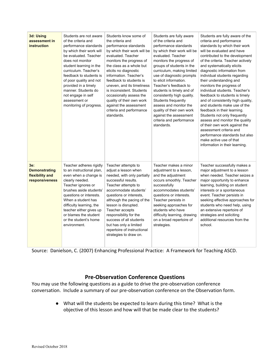| 3d: Using<br>assessment in<br>instruction                        | Students are not aware<br>of the criteria and<br>performance standards<br>by which their work will<br>be evaluated. Teacher<br>does not monitor<br>student learning in the<br>curriculum. Teacher's<br>feedback to students is<br>of poor quality and not<br>provided in a timely<br>manner. Students do<br>not engage in self<br>assessment or<br>monitoring of progress. | Students know some of<br>the criteria and<br>performance standards<br>by which their work will be<br>evaluated. Teacher<br>monitors the progress of<br>the class as a whole but<br>elicits no diagnostic<br>information. Teacher's<br>feedback to students is<br>uneven, and its timeliness<br>is inconsistent. Students<br>occasionally assess the<br>quality of their own work<br>against the assessment<br>criteria and performance<br>standards. | Students are fully aware<br>of the criteria and<br>performance standards<br>by which their work will be<br>evaluated. Teacher<br>monitors the progress of<br>groups of students in the<br>curriculum, making limited<br>use of diagnostic prompts<br>to elicit information.<br>Teacher's feedback to<br>students is timely and of<br>consistently high quality.<br>Students frequently<br>assess and monitor the<br>quality of their own work<br>against the assessment<br>criteria and performance<br>standards. | Students are fully aware of the<br>criteria and performance<br>standards by which their work<br>will be evaluated and have<br>contributed to the development<br>of the criteria. Teacher actively<br>and systematically elicits<br>diagnostic information from<br>individual students regarding<br>their understanding and<br>monitors the progress of<br>individual students. Teacher's<br>feedback to students is timely<br>and of consistently high quality,<br>and students make use of the<br>feedback in their learning.<br>Students not only frequently<br>assess and monitor the quality<br>of their own work against the<br>assessment criteria and<br>performance standards but also<br>make active use of that<br>information in their learning. |
|------------------------------------------------------------------|----------------------------------------------------------------------------------------------------------------------------------------------------------------------------------------------------------------------------------------------------------------------------------------------------------------------------------------------------------------------------|------------------------------------------------------------------------------------------------------------------------------------------------------------------------------------------------------------------------------------------------------------------------------------------------------------------------------------------------------------------------------------------------------------------------------------------------------|-------------------------------------------------------------------------------------------------------------------------------------------------------------------------------------------------------------------------------------------------------------------------------------------------------------------------------------------------------------------------------------------------------------------------------------------------------------------------------------------------------------------|-------------------------------------------------------------------------------------------------------------------------------------------------------------------------------------------------------------------------------------------------------------------------------------------------------------------------------------------------------------------------------------------------------------------------------------------------------------------------------------------------------------------------------------------------------------------------------------------------------------------------------------------------------------------------------------------------------------------------------------------------------------|
| 3е:<br><b>Demonstrating</b><br>flexibility and<br>responsiveness | Teacher adheres rigidly<br>to an instructional plan,<br>even when a change is<br>clearly needed.<br>Teacher ignores or<br>brushes aside students'<br>questions or interests.<br>When a student has<br>difficulty learning, the<br>teacher either gives up<br>or blames the student<br>or the student's home<br>environment.                                                | Teacher attempts to<br>adjust a lesson when<br>needed, with only partially<br>successful results.<br>Teacher attempts to<br>accommodate students'<br>questions or interests,<br>although the pacing of the<br>lesson is disrupted.<br>Teacher accepts<br>responsibility for the<br>success of all students<br>but has only a limited<br>repertoire of instructional<br>strategies to draw on.                                                        | Teacher makes a minor<br>adjustment to a lesson,<br>and the adjustment<br>occurs smoothly. Teacher<br>successfully<br>accommodates students'<br>questions or interests.<br>Teacher persists in<br>seeking approaches for<br>students who have<br>difficulty learning, drawing<br>on a broad repertoire of<br>strategies.                                                                                                                                                                                          | Teacher successfully makes a<br>major adjustment to a lesson<br>when needed. Teacher seizes a<br>major opportunity to enhance<br>learning, building on student<br>interests or a spontaneous<br>event. Teacher persists in<br>seeking effective approaches for<br>students who need help, using<br>an extensive repertoire of<br>strategies and soliciting<br>additional resources from the<br>school.                                                                                                                                                                                                                                                                                                                                                      |

Source: Danielson, C. (2007) Enhancing Professional Practice: A Framework for Teaching ASCD.

## **Pre-Observation Conference Questions**

You may use the following questions as a guide to drive the pre-observation conference conversation. Include a summary of our pre-observation conference on the Observation form.

> ● What will the students be expected to learn during this time? What is the objective of this lesson and how will that be made clear to the students?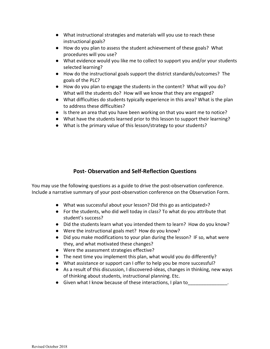- What instructional strategies and materials will you use to reach these instructional goals?
- How do you plan to assess the student achievement of these goals? What procedures will you use?
- What evidence would you like me to collect to support you and/or your students selected learning?
- How do the instructional goals support the district standards/outcomes? The goals of the PLC?
- How do you plan to engage the students in the content? What will you do? What will the students do? How will we know that they are engaged?
- What difficulties do students typically experience in this area? What is the plan to address these difficulties?
- Is there an area that you have been working on that you want me to notice?
- What have the students learned prior to this lesson to support their learning?
- What is the primary value of this lesson/strategy to your students?

## **Post- Observation and Self-Reflection Questions**

You may use the following questions as a guide to drive the post-observation conference. Include a narrative summary of your post-observation conference on the Observation Form.

- What was successful about your lesson? Did this go as anticipated>?
- For the students, who did well today in class? To what do you attribute that student's success?
- Did the students learn what you intended them to learn? How do you know?
- Were the instructional goals met? How do you know?
- Did you make modifications to your plan during the lesson? IF so, what were they, and what motivated these changes?
- Were the assessment strategies effective?
- The next time you implement this plan, what would you do differently?
- What assistance or support can I offer to help you be more successful?
- As a result of this discussion, I discovered-ideas, changes in thinking, new ways of thinking about students, instructional planning. Etc.
- Given what I know because of these interactions, I plan to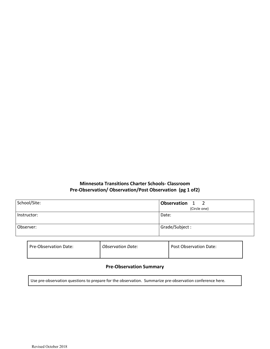#### **Minnesota Transitions Charter Schools- Classroom Pre-Observation/ Observation/Post Observation (pg 1 of2)**

| School/Site: | Observation 1<br>$\overline{2}$<br>(Circle one) |
|--------------|-------------------------------------------------|
| Instructor:  | Date:                                           |
| Observer:    | Grade/Subject:                                  |

| Pre-Observation Date:<br><b>Observation Date:</b> | <b>Post Observation Date:</b> |
|---------------------------------------------------|-------------------------------|
|---------------------------------------------------|-------------------------------|

#### **Pre-Observation Summary**

Use pre-observation questions to prepare for the observation. Summarize pre-observation conference here.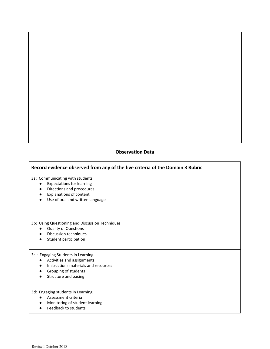#### **Observation Data**

#### **Record evidence observed from any of the five criteria of the Domain 3 Rubric**

3a: Communicating with students

- Expectations for learning
- Directions and procedures
- Explanations of content
- Use of oral and written language

3b: Using Questioning and Discussion Techniques

- Quality of Questions
- Discussion techniques
- Student participation

3c.: Engaging Students in Learning

- Activities and assignments
- Instructions materials and resources
- Grouping of students
- Structure and pacing

3d: Engaging students in Learning

- Assessment criteria
- Monitoring of student learning
- Feedback to students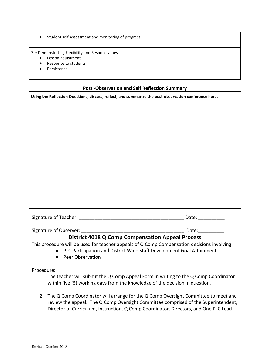● Student self-assessment and monitoring of progress

3e: Demonstrating Flexibility and Responsiveness

- Lesson adjustment
- Response to students
- Persistence

#### **Post -Observation and Self Reflection Summary**

**Using the Reflection Questions, discuss, reflect, and summarize the post-observation conference here.**

| Signature of Teacher:<br>Date: |
|--------------------------------|
|--------------------------------|

Signature of Observer: The Communication of the Communication of Communication of the Communication of Communica

## **District 4018 Q Comp Compensation Appeal Process**

This procedure will be used for teacher appeals of Q Comp Compensation decisions involving:

- PLC Participation and District Wide Staff Development Goal Attainment
- Peer Observation

Procedure:

- 1. The teacher will submit the Q Comp Appeal Form in writing to the Q Comp Coordinator within five (5) working days from the knowledge of the decision in question.
- 2. The Q Comp Coordinator will arrange for the Q Comp Oversight Committee to meet and review the appeal. The Q Comp Oversight Committee comprised of the Superintendent, Director of Curriculum, Instruction, Q Comp Coordinator, Directors, and One PLC Lead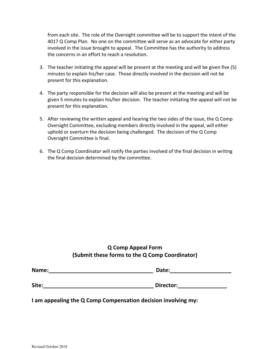from each site. The role of the Oversight committee will be to support the intent of the 4017 Q Comp Plan. No one on the committee will serve as an advocate for either party involved in the issue brought to appeal. The Committee has the authority to address the concerns in an effort to reach a resolution.

- 3. The teacher initiating the appeal will be present at the meeting and will be given five (5) minutes to explain his/her case. Those directly involved in the decision will not be present for this explanation.
- 4. The party responsible for the decision will also be present at the meeting and will be given 5 minutes to explain his/her decision. The teacher initiating the appeal will not be present for this explanation.
- 5. After reviewing the written appeal and hearing the two sides of the issue, the Q Comp Oversight Committee, excluding members directly involved in the appeal, will either uphold or overturn the decision being challenged. The decision of the Q Comp Oversight Committee is final.
- 6. The Q Comp Coordinator will notify the parties involved of the final decision in writing the final decision determined by the committee.

| (Submit these forms to the Q Comp Coordinator) |       | <b>Q Comp Appeal Form</b> |
|------------------------------------------------|-------|---------------------------|
|                                                |       |                           |
|                                                | Name: | Date:                     |

| Site: | Director: |
|-------|-----------|

**I am appealing the Q Comp Compensation decision involving my:**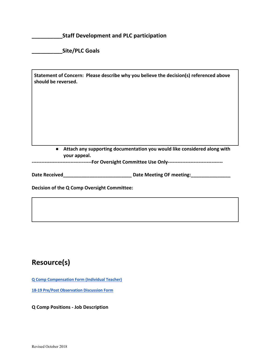**\_\_\_\_\_\_\_\_\_\_Staff Development and PLC participation**

**\_\_\_\_\_\_\_\_\_\_Site/PLC Goals**

| should be reversed.                         | Statement of Concern: Please describe why you believe the decision(s) referenced above             |
|---------------------------------------------|----------------------------------------------------------------------------------------------------|
|                                             |                                                                                                    |
|                                             |                                                                                                    |
|                                             |                                                                                                    |
|                                             |                                                                                                    |
|                                             |                                                                                                    |
| $\bullet$<br>your appeal.                   | Attach any supporting documentation you would like considered along with                           |
|                                             | ---------------------------------For Oversight Committee Use Only--------------------------------- |
| <b>Date Received</b>                        | <b>Date Meeting OF meeting:</b>                                                                    |
| Decision of the Q Comp Oversight Committee: |                                                                                                    |

## **Resource(s)**

**[Q Comp Compensation Form \(Individual Teacher\)](https://docs.google.com/document/d/1ZV0JwlhSEgd-_MvQimzyHGXpLcoeTkyY16DOEi4M8wA/edit)**

**[18-19 Pre/Post Observation Discussion Form](https://docs.google.com/document/d/1HOTT2zhcK9X5SOXiwPz_nr7xagah80-skJNG9RL3u1w/edit)**

**Q Comp Positions - Job Description**